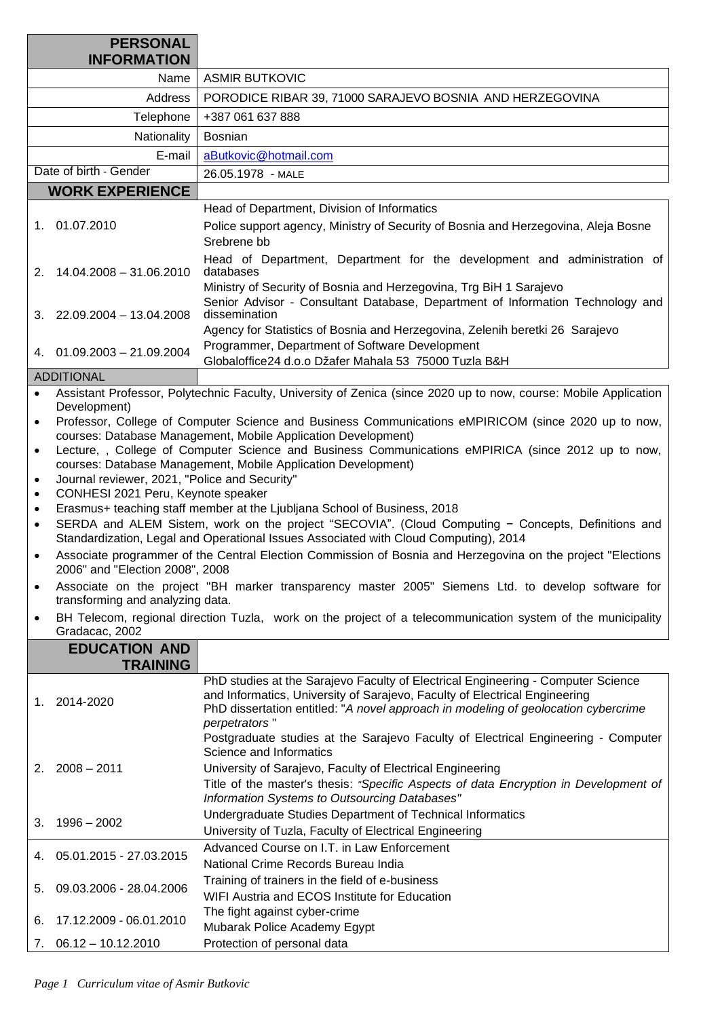| <b>PERSONAL</b>        |                                                                                                                                                                                            |                                                                                                                                                                                                                                                                       |  |
|------------------------|--------------------------------------------------------------------------------------------------------------------------------------------------------------------------------------------|-----------------------------------------------------------------------------------------------------------------------------------------------------------------------------------------------------------------------------------------------------------------------|--|
|                        | <b>INFORMATION</b>                                                                                                                                                                         |                                                                                                                                                                                                                                                                       |  |
|                        | Name                                                                                                                                                                                       | <b>ASMIR BUTKOVIC</b>                                                                                                                                                                                                                                                 |  |
|                        | <b>Address</b>                                                                                                                                                                             | PORODICE RIBAR 39, 71000 SARAJEVO BOSNIA AND HERZEGOVINA                                                                                                                                                                                                              |  |
|                        | Telephone                                                                                                                                                                                  | +387 061 637 888                                                                                                                                                                                                                                                      |  |
|                        | Nationality                                                                                                                                                                                | <b>Bosnian</b>                                                                                                                                                                                                                                                        |  |
|                        | E-mail                                                                                                                                                                                     | aButkovic@hotmail.com                                                                                                                                                                                                                                                 |  |
| Date of birth - Gender |                                                                                                                                                                                            | 26.05.1978 - MALE                                                                                                                                                                                                                                                     |  |
|                        | <b>WORK EXPERIENCE</b>                                                                                                                                                                     |                                                                                                                                                                                                                                                                       |  |
|                        |                                                                                                                                                                                            | Head of Department, Division of Informatics                                                                                                                                                                                                                           |  |
|                        | 1. 01.07.2010                                                                                                                                                                              | Police support agency, Ministry of Security of Bosnia and Herzegovina, Aleja Bosne<br>Srebrene bb                                                                                                                                                                     |  |
| 2.                     | 14.04.2008 - 31.06.2010                                                                                                                                                                    | Head of Department, Department for the development and administration of<br>databases<br>Ministry of Security of Bosnia and Herzegovina, Trg BiH 1 Sarajevo                                                                                                           |  |
|                        | $3. \quad 22.09.2004 - 13.04.2008$                                                                                                                                                         | Senior Advisor - Consultant Database, Department of Information Technology and<br>dissemination<br>Agency for Statistics of Bosnia and Herzegovina, Zelenih beretki 26 Sarajevo                                                                                       |  |
| 4.                     | $01.09.2003 - 21.09.2004$                                                                                                                                                                  | Programmer, Department of Software Development<br>Globaloffice24 d.o.o Džafer Mahala 53 75000 Tuzla B&H                                                                                                                                                               |  |
| <b>ADDITIONAL</b>      |                                                                                                                                                                                            |                                                                                                                                                                                                                                                                       |  |
| $\bullet$              | Assistant Professor, Polytechnic Faculty, University of Zenica (since 2020 up to now, course: Mobile Application                                                                           |                                                                                                                                                                                                                                                                       |  |
| $\bullet$              | Development)<br>Professor, College of Computer Science and Business Communications eMPIRICOM (since 2020 up to now,                                                                        |                                                                                                                                                                                                                                                                       |  |
| $\bullet$              | courses: Database Management, Mobile Application Development)<br>Lecture, , College of Computer Science and Business Communications eMPIRICA (since 2012 up to now,                        |                                                                                                                                                                                                                                                                       |  |
|                        | courses: Database Management, Mobile Application Development)                                                                                                                              |                                                                                                                                                                                                                                                                       |  |
| $\bullet$              | Journal reviewer, 2021, "Police and Security"                                                                                                                                              |                                                                                                                                                                                                                                                                       |  |
| $\bullet$              | CONHESI 2021 Peru, Keynote speaker                                                                                                                                                         |                                                                                                                                                                                                                                                                       |  |
| $\bullet$              | Erasmus+ teaching staff member at the Ljubljana School of Business, 2018                                                                                                                   |                                                                                                                                                                                                                                                                       |  |
| $\bullet$              | SERDA and ALEM Sistem, work on the project "SECOVIA". (Cloud Computing - Concepts, Definitions and<br>Standardization, Legal and Operational Issues Associated with Cloud Computing), 2014 |                                                                                                                                                                                                                                                                       |  |
|                        | 2006" and "Election 2008", 2008                                                                                                                                                            | Associate programmer of the Central Election Commission of Bosnia and Herzegovina on the project "Elections                                                                                                                                                           |  |
|                        | transforming and analyzing data.                                                                                                                                                           | Associate on the project "BH marker transparency master 2005" Siemens Ltd. to develop software for                                                                                                                                                                    |  |
| ٠                      | Gradacac, 2002                                                                                                                                                                             | BH Telecom, regional direction Tuzla, work on the project of a telecommunication system of the municipality                                                                                                                                                           |  |
|                        | <b>EDUCATION AND</b><br><b>TRAINING</b>                                                                                                                                                    |                                                                                                                                                                                                                                                                       |  |
| 1. 2014-2020           |                                                                                                                                                                                            | PhD studies at the Sarajevo Faculty of Electrical Engineering - Computer Science<br>and Informatics, University of Sarajevo, Faculty of Electrical Engineering<br>PhD dissertation entitled: "A novel approach in modeling of geolocation cybercrime<br>perpetrators" |  |
| 2.                     | $2008 - 2011$                                                                                                                                                                              | Postgraduate studies at the Sarajevo Faculty of Electrical Engineering - Computer<br>Science and Informatics<br>University of Sarajevo, Faculty of Electrical Engineering                                                                                             |  |
|                        |                                                                                                                                                                                            | Title of the master's thesis: "Specific Aspects of data Encryption in Development of<br>Information Systems to Outsourcing Databases"                                                                                                                                 |  |
|                        |                                                                                                                                                                                            | Undergraduate Studies Department of Technical Informatics                                                                                                                                                                                                             |  |
| З.                     | $1996 - 2002$                                                                                                                                                                              | University of Tuzla, Faculty of Electrical Engineering                                                                                                                                                                                                                |  |
| 4.                     | 05.01.2015 - 27.03.2015                                                                                                                                                                    | Advanced Course on I.T. in Law Enforcement<br>National Crime Records Bureau India                                                                                                                                                                                     |  |
|                        | 09.03.2006 - 28.04.2006                                                                                                                                                                    | Training of trainers in the field of e-business                                                                                                                                                                                                                       |  |
| 5.                     |                                                                                                                                                                                            | WIFI Austria and ECOS Institute for Education                                                                                                                                                                                                                         |  |
| 6.                     | 17.12.2009 - 06.01.2010                                                                                                                                                                    | The fight against cyber-crime                                                                                                                                                                                                                                         |  |
|                        |                                                                                                                                                                                            | Mubarak Police Academy Egypt                                                                                                                                                                                                                                          |  |
| 7.                     | $06.12 - 10.12.2010$                                                                                                                                                                       | Protection of personal data                                                                                                                                                                                                                                           |  |